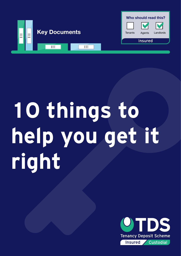

## **10 things to help you get it right**

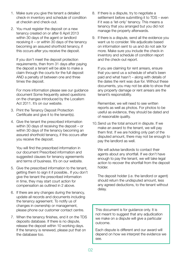- 1. Make sure you give the tenant a detailed check-in inventory and schedule of condition at checkin and check-out.
- 2. You must register the deposit on a new tenancy created on or after 6 April 2013 within 30 days of the agent or landlord receiving it – or within 30 days of the tenancy becoming an assured shorthold tenancy, if this occurs after you receive the deposit.

If you don't meet the deposit protection requirements, then from 31 days after paying the deposit a tenant will be able to make a claim through the courts for the full deposit AND a penalty of between one and three times the deposit.

For more information please see our guidance document Some frequently asked questions on the changes introduced by the Localism Act 2011. It's on our website.

- 3. Print the Tenancy Deposit Protection Certificate and give it to the tenant(s).
- 4. Give the tenant the prescribed information within 30 days of receiving the deposit – or within 30 days of the tenancy becoming an assured shorthold tenancy, if this occurs after you receive the deposit.

You will find the prescribed information in our document Prescribed information and suggested clauses for tenancy agreements and terms of business. It's on our website.

- 5. Give the prescribed information to the tenant, getting them to sign it if possible.. If you don't give the tenant the prescribed information in time, they may start court action for compensation as outlined in 2 above.
- 6. If there are any changes during the tenancy, update all records and documents including the tenancy agreement. To notify us of changes in ownership or management, please phone our customer contact centre.
- 7. When the tenancy finishes, end it on the TDS deposits database. If there is no dispute, release the deposit within 10 working days. If the tenancy is renewed, please put that on the database too.
- 8. If there is a dispute, try to negotiate a settlement before submitting it to TDS – even if it was a 'let-only' tenancy. This means a tenancy that you arranged but you did not manage the property afterwards.
- 9. If there is a dispute, send all the evidence you want us to consider. We adjudicate based on information sent to us and do not ask for more. Make sure you include the check-in inventory and schedule of condition report and the check-out report.

If you are claiming for rent arrears, ensure that you send us a schedule of what's been paid and what hasn't – along with details of the dates the rent was due for. Without these documents, you may not be able to show that any property damage or rent arrears are the tenant's responsibility.

Remember, we will need to see written reports as well as photos. For photos to be useful as evidence, they should be dated and of reasonable quality.

10.Send us the total amount in dispute. If we make an award to the tenant, we will pay them first. If we are holding only part of the disputed amount, there may not be enough to pay the landlord as well.

We will advise landlords to contact their agents about any shortfall. If we don't have enough to pay the tenant, we will take legal action to recover the shortfall from the deposit holder.

The deposit holder (i.e. the landlord or agent) should return the undisputed amount, less any agreed deductions, to the tenant without delay.

This document is for guidance only. It is not meant to suggest that any adjudication we make on a dispute will give a particular outcome.

Each dispute is different and our award will depend on how we interpret the evidence we see.